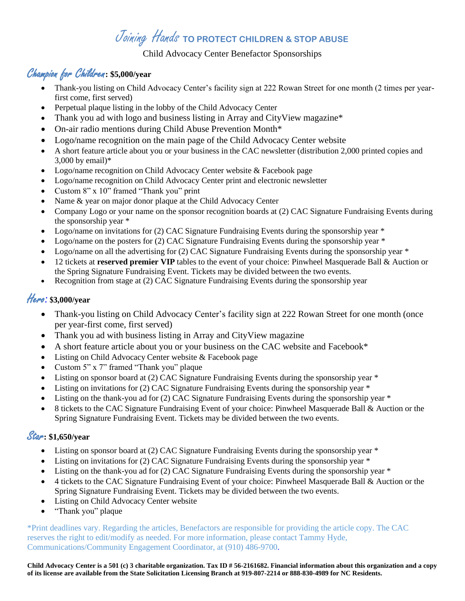# Joining Hands **TO PROTECT CHILDREN & STOP ABUSE**

#### Child Advocacy Center Benefactor Sponsorships

## Champion for Children**: \$5,000/year**

- Thank-you listing on Child Advocacy Center's facility sign at 222 Rowan Street for one month (2 times per yearfirst come, first served)
- Perpetual plaque listing in the lobby of the Child Advocacy Center
- Thank you ad with logo and business listing in Array and CityView magazine\*
- On-air radio mentions during Child Abuse Prevention Month\*
- Logo/name recognition on the main page of the Child Advocacy Center website
- A short feature article about you or your business in the CAC newsletter (distribution 2,000 printed copies and 3,000 by email)\*
- Logo/name recognition on Child Advocacy Center website & Facebook page
- Logo/name recognition on Child Advocacy Center print and electronic newsletter
- Custom 8" x 10" framed "Thank you" print
- Name & year on major donor plaque at the Child Advocacy Center
- Company Logo or your name on the sponsor recognition boards at (2) CAC Signature Fundraising Events during the sponsorship year \*
- Logo/name on invitations for  $(2)$  CAC Signature Fundraising Events during the sponsorship year  $*$
- Logo/name on the posters for (2) CAC Signature Fundraising Events during the sponsorship year \*
- Logo/name on all the advertising for (2) CAC Signature Fundraising Events during the sponsorship year  $*$
- 12 tickets at **reserved premier VIP** tables to the event of your choice: Pinwheel Masquerade Ball & Auction or the Spring Signature Fundraising Event. Tickets may be divided between the two events.
- Recognition from stage at (2) CAC Signature Fundraising Events during the sponsorship year

## Hero*:* **\$3,000/year**

- Thank-you listing on Child Advocacy Center's facility sign at 222 Rowan Street for one month (once per year-first come, first served)
- Thank you ad with business listing in Array and CityView magazine
- A short feature article about you or your business on the CAC website and Facebook\*
- Listing on Child Advocacy Center website & Facebook page
- Custom 5" x 7" framed "Thank you" plaque
- Listing on sponsor board at (2) CAC Signature Fundraising Events during the sponsorship year \*
- Listing on invitations for (2) CAC Signature Fundraising Events during the sponsorship year  $*$
- Listing on the thank-you ad for  $(2)$  CAC Signature Fundraising Events during the sponsorship year  $*$
- 8 tickets to the CAC Signature Fundraising Event of your choice: Pinwheel Masquerade Ball & Auction or the Spring Signature Fundraising Event. Tickets may be divided between the two events.

## Star**: \$1,650/year**

- Listing on sponsor board at (2) CAC Signature Fundraising Events during the sponsorship year  $*$
- Listing on invitations for (2) CAC Signature Fundraising Events during the sponsorship year \*
- Listing on the thank-you ad for (2) CAC Signature Fundraising Events during the sponsorship year \*
- 4 tickets to the CAC Signature Fundraising Event of your choice: Pinwheel Masquerade Ball & Auction or the Spring Signature Fundraising Event. Tickets may be divided between the two events.
- Listing on Child Advocacy Center website
- "Thank you" plaque

\*Print deadlines vary. Regarding the articles, Benefactors are responsible for providing the article copy. The CAC reserves the right to edit/modify as needed. For more information, please contact Tammy Hyde, Communications/Community Engagement Coordinator, at (910) 486-9700.

**Child Advocacy Center is a 501 (c) 3 charitable organization. Tax ID # 56-2161682. Financial information about this organization and a copy of its license are available from the State Solicitation Licensing Branch at 919-807-2214 or 888-830-4989 for NC Residents.**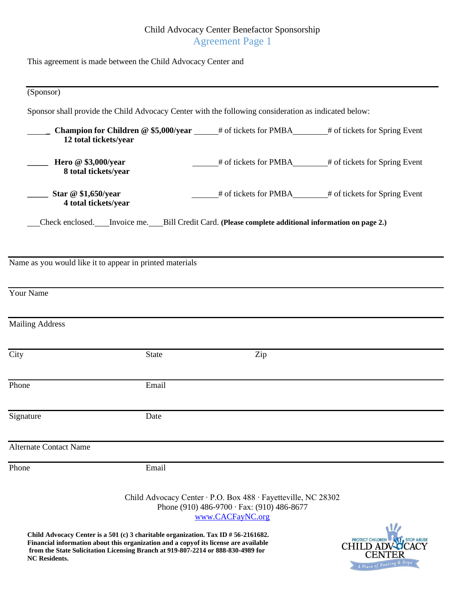## Child Advocacy Center Benefactor Sponsorship Agreement Page 1

| (Sponsor)                                                                                                  |              |                                                                                                                                       |                                                                                                    |
|------------------------------------------------------------------------------------------------------------|--------------|---------------------------------------------------------------------------------------------------------------------------------------|----------------------------------------------------------------------------------------------------|
| Sponsor shall provide the Child Advocacy Center with the following consideration as indicated below:       |              |                                                                                                                                       |                                                                                                    |
| 12 total tickets/year                                                                                      |              |                                                                                                                                       | Champion for Children @ \$5,000/year _____# of tickets for PMBA______# of tickets for Spring Event |
| $\frac{1}{2}$ Hero @ \$3,000/year<br>8 total tickets/year                                                  |              |                                                                                                                                       | <sup>#</sup> of tickets for PMBA <sup>#</sup> of tickets for Spring Event                          |
| Star @ \$1,650/year<br>4 total tickets/year                                                                |              |                                                                                                                                       | # of tickets for PMBA_______# of tickets for Spring Event                                          |
| Check enclosed. ___ Invoice me. ____ Bill Credit Card. (Please complete additional information on page 2.) |              |                                                                                                                                       |                                                                                                    |
| Name as you would like it to appear in printed materials                                                   |              |                                                                                                                                       |                                                                                                    |
| <b>Your Name</b>                                                                                           |              |                                                                                                                                       |                                                                                                    |
|                                                                                                            |              |                                                                                                                                       |                                                                                                    |
| <b>Mailing Address</b>                                                                                     |              |                                                                                                                                       |                                                                                                    |
| City                                                                                                       | <b>State</b> | Zip                                                                                                                                   |                                                                                                    |
| $\overline{P}$ hone                                                                                        | Email        |                                                                                                                                       |                                                                                                    |
| Signature                                                                                                  | Date         |                                                                                                                                       |                                                                                                    |
| <b>Alternate Contact Name</b>                                                                              |              |                                                                                                                                       |                                                                                                    |
| Phone                                                                                                      | Email        |                                                                                                                                       |                                                                                                    |
|                                                                                                            |              | Child Advocacy Center · P.O. Box 488 · Fayetteville, NC 28302<br>Phone (910) 486-9700 $\cdot$ Fax: (910) 486-8677<br>www.CACFayNC.org |                                                                                                    |
|                                                                                                            |              |                                                                                                                                       | 1/2                                                                                                |

**Child Advocacy Center is a 501 (c) 3 charitable organization. Tax ID # 56-2161682. Financial information about this organization and a copyof its license are available from the State Solicitation Licensing Branch at 919-807-2214 or 888-830-4989 for NC Residents.**